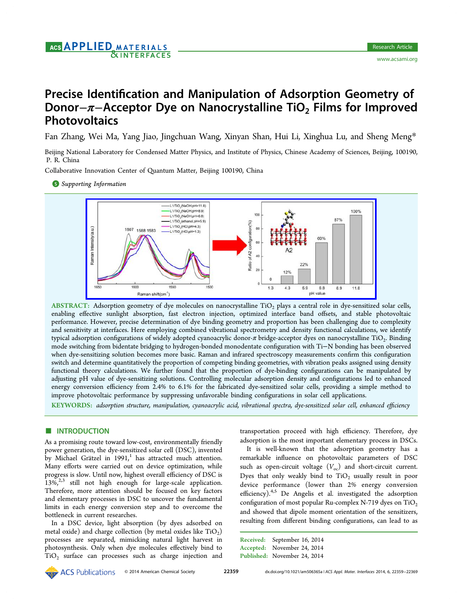# Precise Identification and Manipulation of Adsorption Geometry of Donor−π−Acceptor Dye on Nanocrystalline TiO<sub>2</sub> Films for Improved **Photovoltaics**

Fan Zhang, Wei Ma, Yang Jiao, Jingchuan Wang, Xinyan Shan, Hui Li, Xinghua Lu, and Sheng Meng\*

Beijing National Laboratory for Condensed Matter Physics, and Institute of Physics, Chinese Academy of Sciences, Beijing, 1001[90,](#page-8-0) P. R. China

Collaborative Innovation Center of Quantum Matter, Beijing 100190, China

**S** Supporting Information



ABSTRACT: Adsorption geometry of dye molecules on nanocrystalline TiO<sub>2</sub> plays a central role in dye-sensitized solar cells, enabling eff[ective sunlight absorption, fast electron injection, optimized interface band o](http://pubs.acs.org/action/showImage?doi=10.1021/am506365a&iName=master.img-000.jpg&w=387&h=131)ffsets, and stable photovoltaic performance. However, precise determination of dye binding geometry and proportion has been challenging due to complexity and sensitivity at interfaces. Here employing combined vibrational spectrometry and density functional calculations, we identify typical adsorption configurations of widely adopted cyanoacrylic donor- $\pi$  bridge-acceptor dyes on nanocrystalline TiO<sub>2</sub>. Binding mode switching from bidentate bridging to hydrogen-bonded monodentate configuration with Ti−N bonding has been observed when dye-sensitizing solution becomes more basic. Raman and infrared spectroscopy measurements confirm this configuration switch and determine quantitatively the proportion of competing binding geometries, with vibration peaks assigned using density functional theory calculations. We further found that the proportion of dye-binding configurations can be manipulated by adjusting pH value of dye-sensitizing solutions. Controlling molecular adsorption density and configurations led to enhanced energy conversion efficiency from 2.4% to 6.1% for the fabricated dye-sensitized solar cells, providing a simple method to improve photovoltaic performance by suppressing unfavorable binding configurations in solar cell applications.

KEYWORDS: adsorption structure, manipulation, cyanoacrylic acid, vibrational spectra, dye-sensitized solar cell, enhanced efficiency

# **■ INTRODUCTION**

As a promising route toward low-cost, environmentally friendly power generation, the dye-sensitized solar cell (DSC), invented by Michael Grätzel in  $1991$ , has attracted much attention. Many efforts were carried out on device optimization, while progress is slow. Until now, h[ig](#page-9-0)hest overall efficiency of DSC is  $13\%$ ,<sup>2,3</sup> still not high enough for large-scale application. Therefore, more attention should be focused on key factors and [ele](#page-9-0)mentary processes in DSC to uncover the fundamental limits in each energy conversion step and to overcome the bottleneck in current researches.

In a DSC device, light absorption (by dyes adsorbed on metal oxide) and charge collection (by metal oxides like  $TiO<sub>2</sub>$ ) processes are separated, mimicking natural light harvest in photosynthesis. Only when dye molecules effectively bind to  $TiO<sub>2</sub>$  surface can processes such as charge injection and transportation proceed with high efficiency. Therefore, dye adsorption is the most important elementary process in DSCs.

It is well-known that the adsorption geometry has a remarkable influence on photovoltaic parameters of DSC such as open-circuit voltage  $(V_{oc})$  and short-circuit current. Dyes that only weakly bind to  $TiO<sub>2</sub>$  usually result in poor device performance (lower than 2% energy conversion efficiency).<sup>4,5</sup> De Angelis et al. investigated the adsorption configuration of most popular Ru-complex N-719 dyes on  $TiO<sub>2</sub>$ and showe[d t](#page-9-0)hat dipole moment orientation of the sensitizers, resulting from different binding configurations, can lead to as

Received: September 16, 2014 Accepted: November 24, 2014 Published: November 24, 2014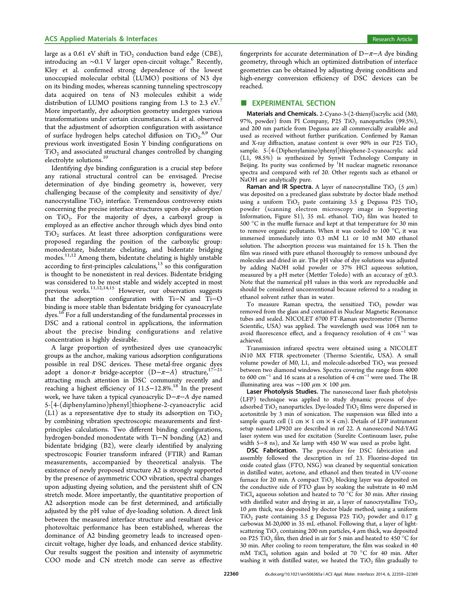large as a 0.61 eV shift in  $TiO<sub>2</sub>$  conduction band edge (CBE), introducing an  $~\sim$ 0.1 V larger open-circuit voltage.<sup>6</sup> Recently, Kley et al. confirmed strong dependence of the lowest unoccupied molecular orbital (LUMO) positions [o](#page-9-0)f N3 dye on its binding modes, whereas scanning tunneling spectroscopy data acquired on tens of N3 molecules exhibit a wide distribution of LUMO positions ranging from 1.3 to 2.3 eV. More importantly, dye adsorption geometry undergoes various transformations under certain circumstances. Li et al. observe[d](#page-9-0) that the adjustment of adsorption configuration with assistance of surface hydrogen helps catechol diffusion on TiO<sub>2</sub>.<sup>8,9</sup> Our previous work investigated Eosin Y binding configurations on  $TiO<sub>2</sub>$  and associated structural c[han](#page-9-0)ges controlled by changing electrolyte solutions.<sup>10</sup>

Identifying dye binding configuration is a crucial step before any rational struct[ura](#page-9-0)l control can be envisaged. Precise determination of dye binding geometry is, however, very challenging because of the complexity and sensitivity of dye/ nanocrystalline  $TiO<sub>2</sub>$  interface. Tremendous controversy exists concerning the precise interface structures upon dye adsorption on TiO2. For the majority of dyes, a carboxyl group is employed as an effective anchor through which dyes bind onto  $TiO<sub>2</sub>$  surfaces. At least three adsorption configurations were proposed regarding the position of the carboxylic group: monodentate, bidentate chelating, and bidentate bridging modes.<sup>11,12</sup> Among them, bidentate chelating is highly unstable according to first-principles calculations, $13$  so this configuration is thou[ght t](#page-9-0)o be nonexistent in real devices. Bidentate bridging was considered to be most stable and [wid](#page-9-0)ely accepted in most previous works.<sup>11,12,14,15</sup> However, our observation suggests that the adsorption configuration with Ti−N and Ti−O binding is more [stable tha](#page-9-0)n bidentate bridging for cyanoacrylate dyes.<sup>16</sup> For a full understanding of the fundamental processes in DSC and a rational control in applications, the information abo[ut](#page-9-0) the precise binding configurations and relative concentration is highly desirable.

A large proportion of synthesized dyes use cyanoacrylic groups as the anchor, making various adsorption configurations possible in real DSC devices. These metal-free organic dyes adopt a donor- $\pi$  bridge-acceptor (D- $\pi$ –A) structure,<sup>17–</sup> attracting much attention in DSC community recently and reaching a highest efficiency of 11.5−12.8%.<sup>18</sup> In the pr[es](#page-9-0)e[nt](#page-9-0) work, we have taken a typical cyanoacrylic D−π−A dye named 5-[4-(diphenylamino)phenyl]thiophene-2-c[ya](#page-9-0)noacrylic acid (L1) as a representative dye to study its adsorption on  $TiO<sub>2</sub>$ by combining vibration spectroscopic measurements and firstprinciples calculations. Two different binding configurations, hydrogen-bonded monodentate with Ti−N bonding (A2) and bidentate bridging (B2), were clearly identified by analyzing spectroscopic Fourier transform infrared (FTIR) and Raman measurements, accompanied by theoretical analysis. The existence of newly proposed structure A2 is strongly supported by the presence of asymmetric COO vibration, spectral changes upon adjusting dyeing solution, and the persistent shift of CN stretch mode. More importantly, the quantitative proportion of A2 adsorption mode can be first determined, and artificially adjusted by the pH value of dye-loading solution. A direct link between the measured interface structure and resultant device photovoltaic performance has been established, whereas the dominance of A2 binding geometry leads to increased opencircuit voltage, higher dye loads, and enhanced device stability. Our results suggest the position and intensity of asymmetric COO mode and CN stretch mode can serve as effective

fingerprints for accurate determination of  $D-\pi-A$  dye binding geometry, through which an optimized distribution of interface geometries can be obtained by adjusting dyeing conditions and high-energy conversion efficiency of DSC devices can be reached.

#### **EXPERIMENTAL SECTION**

Materials and Chemicals. 2-Cyano-3-(2-thienyl)acrylic acid (M0, 97%, powder) from PI Company, P25  $TiO<sub>2</sub>$  nanoparticles (99.5%), and 200 nm particle from Degussa are all commercially available and used as received without further purification. Confirmed by Raman and X-ray diffraction, anatase content is over 90% in our P25  $TiO<sub>2</sub>$ sample. 5-[4-(Diphenylamino)phenyl]thiophene-2-cyanoacrylic acid (L1, 98.5%) is synthesized by Synwit Technology Company in Beijing. Its purity was confirmed by <sup>1</sup>H nuclear magnetic resonance spectra and compared with ref 20. Other regents such as ethanol or NaOH are analytically pure.

**Raman and IR Spectra.** A layer of nanocrystalline TiO<sub>2</sub> (5  $\mu$ m) was deposited on a precleaned [glas](#page-9-0)s substrate by doctor blade method using a uniform  $TiO<sub>2</sub>$  paste containing 3.5 g Degussa P25  $TiO<sub>2</sub>$ powder (scanning electron microscopy image in Supporting Information, Figure S1), 35 mL ethanol. TiO<sub>2</sub> film was heated to 500 °C in the muffle furnace and kept at that temperature for 30 min to remove organic pollutants. When it was cooled to 100 °[C,](#page-8-0) [it](#page-8-0) [was](#page-8-0) [immersed immediately](#page-8-0) into 0.3 mM L1 or 10 mM M0 ethanol solution. The adsorption process was maintained for 15 h. Then the film was rinsed with pure ethanol thoroughly to remove unbound dye molecules and dried in air. The pH value of dye solutions was adjusted by adding NaOH solid powder or 37% HCl aqueous solution, measured by a pH meter (Mettler Toledo) with an accuracy of  $\pm 0.3$ . Note that the numerical pH values in this work are reproducible and should be considered unconventional because referred to a reading in ethanol solvent rather than in water.

To measure Raman spectra, the sensitized  $TiO<sub>2</sub>$  powder was removed from the glass and contained in Nuclear Magnetic Resonance tubes and sealed. NICOLET 6700 FT-Raman spectrometer (Thermo Scientific, USA) was applied. The wavelength used was 1064 nm to avoid fluorescence effect, and a frequency resolution of 4  $cm^{-1}$  was achieved.

Transmission infrared spectra were obtained using a NICOLET iN10 MX FTIR spectrometer (Thermo Scientific, USA). A small volume powder of M0, L1, and molecule-adsorbed  $TiO<sub>2</sub>$  was pressed between two diamond windows. Spectra covering the range from 4000 to 600 cm<sup>−</sup><sup>1</sup> and 16 scans at a resolution of 4 cm<sup>−</sup><sup>1</sup> were used. The IR illuminating area was ∼100 μm × 100 μm.

Laser Photolysis Studies. The nanosecond laser flash photolysis (LFP) technique was applied to study dynamic process of dyeadsorbed  $TiO<sub>2</sub>$  nanoparticles. Dye-loaded  $TiO<sub>2</sub>$  films were dispersed in acetonitrile by 3 min of sonication. The suspension was filled into a sample quartz cell (1 cm  $\times$  1 cm  $\times$  4 cm). Details of LFP instrument setup named LP920 are described in ref 22. A nanosecond Nd:YAG laser system was used for excitation (Surelite Continuum laser, pulse width 5−8 ns), and Xe lamp with 450 W was used as probe light.

DSC Fabrication. The procedure [for](#page-9-0) DSC fabrication and assembly followed the description in ref 23. Fluorine-doped tin oxide coated glass (FTO, NSG) was cleaned by sequential sonication in distilled water, acetone, and ethanol and then treated in UV-ozone furnace for 20 min. A compact  $TiO<sub>2</sub>$  blockin[g la](#page-9-0)yer was deposited on the conductive side of FTO glass by soaking the substrate in 40 mM TiCl<sub>4</sub> aqueous solution and heated to 70 °C for 30 min. After rinsing with distilled water and drying in air, a layer of nanocrystalline  $TiO<sub>2</sub>$ , 10  $\mu$ m thick, was deposited by doctor blade method, using a uniform  $TiO<sub>2</sub>$  paste containing 3.5 g Degussa P25  $TiO<sub>2</sub>$  powder and 0.17 g carbowax M-20,000 in 35 mL ethanol. Following that, a layer of lightscattering TiO<sub>2</sub> containing 200 nm particles, 4  $\mu$ m thick, was deposited on P25 TiO<sub>2</sub> film, then dried in air for 5 min and heated to 450 °C for 30 min. After cooling to room temperature, the film was soaked in 40 mM TiCl<sub>4</sub> solution again and boiled at 70 °C for 40 min. After washing it with distilled water, we heated the  $TiO<sub>2</sub>$  film gradually to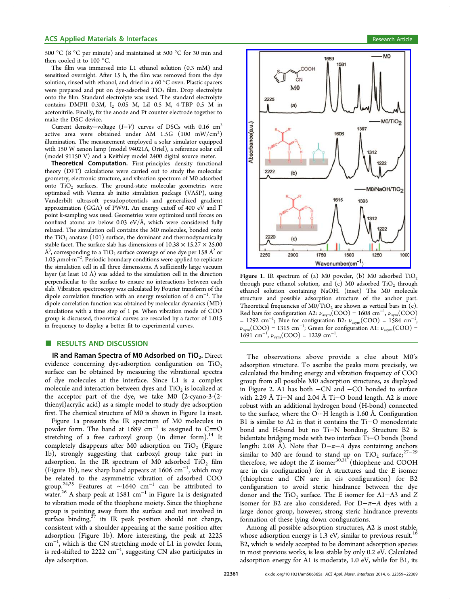<span id="page-2-0"></span>500 °C (8 °C per minute) and maintained at 500 °C for 30 min and then cooled it to 100 °C.

The film was immersed into L1 ethanol solution (0.3 mM) and sensitized overnight. After 15 h, the film was removed from the dye solution, rinsed with ethanol, and dried in a 60 °C oven. Plastic spacers were prepared and put on dye-adsorbed TiO<sub>2</sub> film. Drop electrolyte onto the film. Standard electrolyte was used. The standard electrolyte contains DMPII 0.3M, I<sub>2</sub> 0.05 M, LiI 0.5 M, 4-TBP 0.5 M in acetonitrile. Finally, fix the anode and Pt counter electrode together to make the DSC device.

Current density–voltage  $(I-V)$  curves of DSCs with 0.16 cm<sup>2</sup> active area were obtained under AM  $1.5G$   $(100 \, \text{mW/cm}^2)$ illumination. The measurement employed a solar simulator equipped with 150 W xenon lamp (model 94021A, Oriel), a reference solar cell (model 91150 V) and a Keithley model 2400 digital source meter.

Theoretical Computation. First-principles density functional theory (DFT) calculations were carried out to study the molecular geometry, electronic structure, and vibration spectrum of M0 adsorbed onto  $TiO<sub>2</sub>$  surfaces. The ground-state molecular geometries were optimized with Vienna ab initio simulation package (VASP), using Vanderbilt ultrasoft pesudopotentials and generalized gradient approximation (GGA) of PW91. An energy cutoff of 400 eV and Γ point k-sampling was used. Geometries were optimized until forces on nonfixed atoms are below 0.03 eV/ $\AA$ , which were considered fully relaxed. The simulation cell contains the M0 molecules, bonded onto the  $TiO<sub>2</sub>$  anatase (101) surface, the dominant and thermodynamically stable facet. The surface slab has dimensions of  $10.38 \times 15.27 \times 25.00$  $\rm \AA^3$ , corresponding to a  $\rm TiO_2$  surface coverage of one dye per 158  $\rm \AA^2$  or 1.05 μmol·m<sup>−</sup><sup>2</sup> . Periodic boundary conditions were applied to replicate the simulation cell in all three dimensions. A sufficiently large vacuum layer (at least 10 Å) was added to the simulation cell in the direction perpendicular to the surface to ensure no interactions between each slab. Vibration spectroscopy was calculated by Fourier transform of the dipole correlation function with an energy resolution of 6 cm<sup>-1</sup>. The dipole correlation function was obtained by molecular dynamics (MD) simulations with a time step of 1 ps. When vibration mode of COO group is discussed, theoretical curves are rescaled by a factor of 1.015 in frequency to display a better fit to experimental curves.

### ■ RESULTS AND DISCUSSION

IR and Raman Spectra of M0 Adsorbed on  $TiO<sub>2</sub>$ . Direct evidence concerning dye-adsorption configuration on  $TiO<sub>2</sub>$ surface can be obtained by measuring the vibrational spectra of dye molecules at the interface. Since L1 is a complex molecule and interaction between dyes and  $TiO<sub>2</sub>$  is localized at the acceptor part of the dye, we take M0 (2-cyano-3-(2 thienyl)acrylic acid) as a simple model to study dye adsorption first. The chemical structure of M0 is shown in Figure 1a inset.

Figure 1a presents the IR spectrum of M0 molecules in powder form. The band at 1689  $cm^{-1}$  is assigned to C=O stretching of a free carboxyl group (in dimer form).<sup>14</sup> It completely disappears after M0 adsorption on TiO<sub>2</sub> (Figure 1b), strongly suggesting that carboxyl group take pa[rt](#page-9-0) in adsorption. In the IR spectrum of M0 adsorbed  $TiO<sub>2</sub>$  film (Figure 1b), new sharp band appears at 1606 cm<sup>−</sup><sup>1</sup> , which may be related to the asymmetric vibration of adsorbed COO group.24,25 Features at ∼1640 cm<sup>−</sup><sup>1</sup> can be attributed to water.<sup>26</sup> A sharp peak at 1581 cm<sup>−</sup><sup>1</sup> in Figure 1a is designated to vib[ration](#page-9-0) mode of the thiophene moiety. Since the thiophene group [is](#page-9-0) pointing away from the surface and not involved in surface binding, $27$  its IR peak position should not change, consistent with a shoulder appearing at the same position after adsorption (Fig[ure](#page-9-0) 1b). More interesting, the peak at 2225 cm<sup>−</sup><sup>1</sup> , which is the CN stretching mode of L1 in powder form, is red-shifted to 2222 cm<sup>-1</sup>, suggesting CN also participates in dye adsorption.



**Figure 1.** IR spectrum of (a) M0 powder, (b) M0 adsorbed  $TiO<sub>2</sub>$ through pure ethanol solution, and  $(c)$  M0 adsorbed TiO<sub>2</sub> through ethanol solution containing NaOH. (inset) The M0 molecule structure and possible adsorption structure of the anchor part. Theoretical frequencies of  $M0/TiO<sub>2</sub>$  are shown as vertical bars in (c). Red bars for configuration A2:  $\nu_{\text{asym}}(COO) = 1608 \text{ cm}^{-1}$ ,  $\nu_{\text{sym}}(COO)$ = 1292 cm<sup>-1</sup>; Blue for configuration B2:  $v_{\text{asym}}(\text{COO}) = 1584 \text{ cm}^{-1}$ ,  $\nu_{sym}(\text{COO}) = 1315 \text{ cm}^{-1}$ ; Green for configuration A1:  $\nu_{\text{asym}}(\text{COO}) =$  $1691 \text{ cm}^{-1}$ ,  $\nu_{sym}(\text{COO}) = 1229 \text{ cm}^{-1}$ .

The observations above provide a clue about M0's adsorption structure. To ascribe the peaks more precisely, we calculated the binding energy and vibration frequency of COO group from all possible M0 adsorption structures, as displayed in Figure 2. A1 has both −CN and −CO bonded to surface with 2.29 Å Ti−N and 2.04 Å Ti−O bond length. A2 is more robust wit[h](#page-3-0) an additional hydrogen bond (H-bond) connected to the surface, where the O···H length is 1.60 Å. Configuration B1 is similar to A2 in that it contains the Ti−O monodentate bond and H-bond but no Ti−N bonding. Structure B2 is bidentate bridging mode with two interface Ti−O bonds (bond length: 2.08 Å). Note that D $-\pi$ −A dyes containing anchors similar to M0 are found to stand up on TiO<sub>2</sub> surface;<sup>27-29</sup> therefore, we adopt the Z isomer $^{30,31^{\text{*}}}$  (thiophene and COOH are in cis configuration) for A structures and the E is[omer](#page-9-0) (thiophene and CN are in [cis](#page-9-0) configuration) for B2 configuration to avoid steric hindrance between the dye donor and the TiO<sub>2</sub> surface. The E isomer for A1–A3 and Z isomer for B2 are also considered. For D−π−A dyes with a large donor group, however, strong steric hindrance prevents formation of these lying down configurations.

Among all possible adsorption structures, A2 is most stable, whose adsorption energy is  $1.3$  eV, similar to previous result.<sup>16</sup> B2, which is widely accepted to be dominant adsorption species in most previous works, is less stable by only 0.2 eV. Calculat[ed](#page-9-0) adsorption energy for A1 is moderate, 1.0 eV, while for B1, its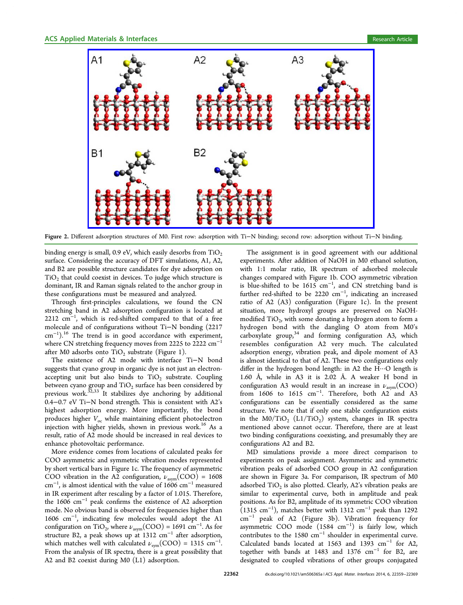<span id="page-3-0"></span>

Figure 2. Differe[nt adsorption structures of M0. First row: adsorption with Ti](http://pubs.acs.org/action/showImage?doi=10.1021/am506365a&iName=master.img-002.jpg&w=382&h=237)−N binding; second row: adsorption without Ti−N binding.

binding energy is small, 0.9 eV, which easily desorbs from  $TiO<sub>2</sub>$ surface. Considering the accuracy of DFT simulations, A1, A2, and B2 are possible structure candidates for dye adsorption on  $TiO<sub>2</sub>$  that could coexist in devices. To judge which structure is dominant, IR and Raman signals related to the anchor group in these configurations must be measured and analyzed.

Through first-principles calculations, we found the CN stretching band in A2 adsorption configuration is located at 2212 cm<sup>-1</sup>, which is red-shifted compared to that of a free molecule and of configurations without Ti−N bonding (2217 cm<sup>-1</sup>).<sup>16</sup> The trend is in good accordance with experiment, where CN stretching frequency moves from 2225 to 2222 cm<sup>-1</sup> after [M0](#page-9-0) adsorbs onto  $TiO<sub>2</sub>$  substrate (Figure 1).

The existence of A2 mode with interface Ti−N bond suggests that cyano group in organic dye is not [ju](#page-2-0)st an electronaccepting unit but also binds to  $TiO<sub>2</sub>$  substrate. Coupling between cyano group and  $TiO<sub>2</sub>$  surface has been considered by previous work. $32,33$  It stabilizes dye anchoring by additional 0.4−0.7 eV Ti−N bond strength. This is consistent with A2's highest adsor[ption](#page-9-0) energy. More importantly, the bond produces higher  $V_{\text{oc}}$  while maintaining efficient photoelectron injection with higher yields, shown in previous work.<sup>16</sup> As a result, ratio of A2 mode should be increased in real devices to enhance photovoltaic performance.

More evidence comes from locations of calculated peaks for COO asymmetric and symmetric vibration modes represented by short vertical bars in Figure 1c. The frequency of asymmetric COO vibration in the A2 configuration,  $\nu_{\text{asym}}(\text{COO}) = 1608$ cm<sup>−</sup><sup>1</sup> , is almost identical with t[he](#page-2-0) value of 1606 cm<sup>−</sup><sup>1</sup> measured in IR experiment after rescaling by a factor of 1.015. Therefore, the 1606 cm<sup>−</sup><sup>1</sup> peak confirms the existence of A2 adsorption mode. No obvious band is observed for frequencies higher than 1606 cm<sup>−</sup><sup>1</sup> , indicating few molecules would adopt the A1 configuration on TiO<sub>2</sub>, where  $\nu_{\text{asym}}(\text{COO}) = 1691 \text{ cm}^{-1}$ . As for structure B2, a peak shows up at  $1312 \text{ cm}^{-1}$  after adsorption, which matches well with calculated  $\nu_{sym}(\text{COO}) = 1315 \text{ cm}^{-1}$ . . From the analysis of IR spectra, there is a great possibility that A2 and B2 coexist during M0 (L1) adsorption.

The assignment is in good agreement with our additional experiments. After addition of NaOH in M0 ethanol solution, with 1:1 molar ratio, IR spectrum of adsorbed molecule changes compared with Figure 1b. COO asymmetric vibration is blue-shifted to be  $1615 \text{ cm}^{-1}$ , and CN stretching band is further red-shifted to be 2220 [c](#page-2-0)m<sup>-1</sup>, indicating an increased ratio of A2 (A3) configuration (Figure 1c). In the present situation, more hydroxyl groups are preserved on NaOHmodified  $TiO<sub>2</sub>$ , with some donating a hydr[og](#page-2-0)en atom to form a hydrogen bond with the dangling O atom from M0's carboxylate group, $34$  and forming configuration A3, which resembles configuration A2 very much. The calculated adsorption energy, [v](#page-9-0)ibration peak, and dipole moment of A3 is almost identical to that of A2. These two configurations only differ in the hydrogen bond length: in A2 the H···O length is 1.60 Å, while in A3 it is 2.02 Å. A weaker H bond in configuration A3 would result in an increase in  $\nu_{\text{asym}}(\text{COO})$ from  $1606$  to  $1615$   $cm^{-1}$ . Therefore, both A2<sup>'</sup> and A3 configurations can be essentially considered as the same structure. We note that if only one stable configuration exists in the M0/TiO<sub>2</sub> (L1/TiO<sub>2</sub>) system, changes in IR spectra mentioned above cannot occur. Therefore, there are at least two binding configurations coexisting, and presumably they are configurations A2 and B2.

MD simulations provide a more direct comparison to experiments on peak assignment. Asymmetric and symmetric vibration peaks of adsorbed COO group in A2 configuration are shown in Figure 3a. For comparison, IR spectrum of M0 adsorbed  $TiO<sub>2</sub>$  is also plotted. Clearly, A2's vibration peaks are similar to experime[nta](#page-4-0)l curve, both in amplitude and peak positions. As for B2, amplitude of its symmetric COO vibration  $(1315 \text{ cm}^{-1})$ , matches better with 1312 cm<sup>-1</sup> peak than 1292 cm<sup>−</sup><sup>1</sup> peak of A2 (Figure 3b). Vibration frequency for asymmetric COO mode (1584 cm<sup>−</sup><sup>1</sup> ) is fairly low, which contributes to the 1580 cm<sup>−</sup><sup>1</sup> [sh](#page-4-0)oulder in experimental curve. Calculated bands located at 1563 and 1393 cm<sup>−</sup><sup>1</sup> for A2, together with bands at 1483 and 1376 cm<sup>−</sup><sup>1</sup> for B2, are designated to coupled vibrations of other groups conjugated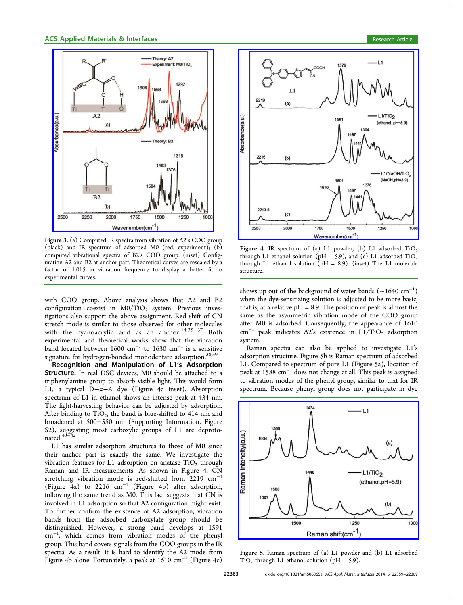<span id="page-4-0"></span>

Figure 3. (a) Computed IR spectra from vibration of A2's COO group (bla[ck\) and IR spectrum of adsorbed M0 \(red, experiment\);](http://pubs.acs.org/action/showImage?doi=10.1021/am506365a&iName=master.img-003.jpg&w=213&h=242) (b) computed vibrational spectra of B2's COO group. (inset) Configuration A2 and B2 at anchor part. Theoretical curves are rescaled by a factor of 1.015 in vibration frequency to display a better fit to experimental curves.

with COO group. Above analysis shows that A2 and B2 configuration coexist in  $M0/TiO<sub>2</sub>$  system. Previous investigations also support the above assignment. Red shift of CN stretch mode is similar to those observed for other molecules with the cyanoacrylic acid as an anchor.<sup>14,35−37</sup> Both experimental and theoretical works show that the vibration band located between [1](#page-9-0)600  $cm^{-1}$  to 1630  $cm^{-1}$  i[s a se](#page-10-0)nsitive signature for hydrogen-bonded monodentate adsorption.<sup>38,39</sup>

Recognition and Manipulation of L1's Adsorption Structure. In real DSC devices, M0 should be attache[d to](#page-10-0) a triphenylamine group to absorb visible light. This would form L1, a typical D−π−A dye (Figure 4a inset). Absorption spectrum of L1 in ethanol shows an intense peak at 434 nm. The light-harvesting behavior can be adjusted by adsorption. After binding to  $TiO<sub>2</sub>$ , the band is blue-shifted to 414 nm and broadened at 500−550 nm (Supporting Information, Figure S2), suggesting most carboxylic groups of L1 are deprotonated.40−<sup>42</sup>

L1 has similar adsorption [structures](#page-8-0) [to](#page-8-0) [those](#page-8-0) [of](#page-8-0) [M0](#page-8-0) [since](#page-8-0) [the](#page-8-0)ir [ancho](#page-10-0)r part is exactly the same. We investigate the vibration features for L1 adsorption on anatase  $TiO<sub>2</sub>$  through Raman and IR measurements. As shown in Figure 4, CN stretching vibration mode is red-shifted from 2219 cm<sup>−</sup><sup>1</sup> (Figure 4a) to 2216 cm<sup>−</sup><sup>1</sup> (Figure 4b) after adsorption, following the same trend as M0. This fact suggests that CN is involved in L1 adsorption so that A2 configuration might exist. To further confirm the existence of A2 adsorption, vibration bands from the adsorbed carboxylate group should be distinguished. However, a strong band develops at 1591 cm<sup>−</sup><sup>1</sup> , which comes from vibration modes of the phenyl group. This band covers signals from the COO groups in the IR spectra. As a result, it is hard to identify the A2 mode from Figure 4b alone. Fortunately, a peak at 1610 cm<sup>−</sup><sup>1</sup> (Figure 4c)



Figure 4. IR spectrum of (a) L1 powder, (b) L1 adsorbed  $TiO<sub>2</sub>$ through L1 ethanol solution (pH = 5.9), and (c) L1 adsorbed  $TiO<sub>2</sub>$ through L1 ethanol solution (pH = 8.9). (inset) The L1 molecule structure.

shows up out of the background of water bands  $({\sim}1640{\rm\;cm^{-1}})$ when the dye-sensitizing solution is adjusted to be more basic, that is, at a relative  $pH = 8.9$ . The position of peak is almost the same as the asymmetric vibration mode of the COO group after M0 is adsorbed. Consequently, the appearance of 1610 cm<sup>-1</sup> peak indicates A2's existence in L1/TiO<sub>2</sub> adsorption system.

Raman spectra can also be applied to investigate L1's adsorption structure. Figure 5b is Raman spectrum of adsorbed L1. Compared to spectrum of pure L1 (Figure 5a), location of peak at 1588 cm<sup>−</sup><sup>1</sup> does not change at all. This peak is assigned to vibration modes of the phenyl group, similar to that for IR spectrum. Because phenyl group does not participate in dye



Figure 5. [Raman spectrum of \(a\) L1 powder and \(b\) L1 adsorbed](http://pubs.acs.org/action/showImage?doi=10.1021/am506365a&iName=master.img-005.jpg&w=239&h=182)  $TiO<sub>2</sub>$  through L1 ethanol solution (pH = 5.9).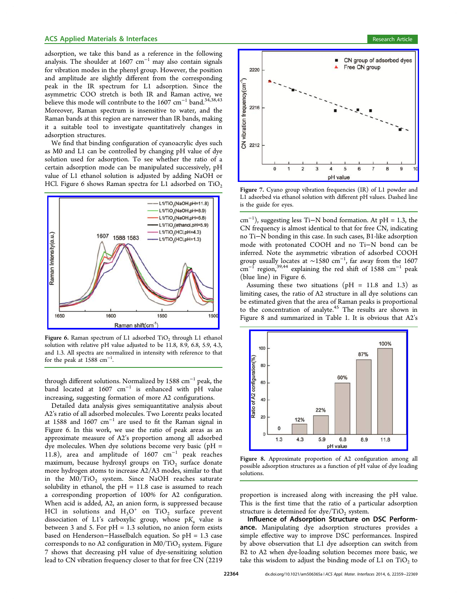<span id="page-5-0"></span>adsorption, we take this band as a reference in the following analysis. The shoulder at  $1607 \text{ cm}^{-1}$  may also contain signals for vibration modes in the phenyl group. However, the position and amplitude are slightly different from the corresponding peak in the IR spectrum for L1 adsorption. Since the asymmetric COO stretch is both IR and Raman active, we believe this mode will contribute to the 1607 cm<sup>-1</sup> band.<sup>34,38,43</sup> Moreover, Raman spectrum is insensitive to water, and the Raman bands at this region are narrower than IR bands, [ma](#page-9-0)[king](#page-10-0) it a suitable tool to investigate quantitatively changes in adsorption structures.

We find that binding configuration of cyanoacrylic dyes such as M0 and L1 can be controlled by changing pH value of dye solution used for adsorption. To see whether the ratio of a certain adsorption mode can be manipulated successively, pH value of L1 ethanol solution is adjusted by adding NaOH or HCl. Figure 6 shows Raman spectra for L1 adsorbed on  $TiO<sub>2</sub>$ 



Figure 6. Raman spectrum of L1 adsorbed  $TiO<sub>2</sub>$  through L1 ethanol s[olution with relative pH value adjusted to be 11.8, 8.9, 6.8, 5.9, 4.](http://pubs.acs.org/action/showImage?doi=10.1021/am506365a&iName=master.img-006.jpg&w=227&h=175)3, and 1.3. All spectra are normalized in intensity with reference to that for the peak at 1588  $cm^{-1}$ . .

through different solutions. Normalized by 1588 cm<sup>−</sup><sup>1</sup> peak, the band located at 1607 cm<sup>−</sup><sup>1</sup> is enhanced with pH value increasing, suggesting formation of more A2 configurations.

Detailed data analysis gives semiquantitative analysis about A2's ratio of all adsorbed molecules. Two Lorentz peaks located at 1588 and 1607 cm<sup>−</sup><sup>1</sup> are used to fit the Raman signal in Figure 6. In this work, we use the ratio of peak areas as an approximate measure of A2's proportion among all adsorbed dye molecules. When dye solutions become very basic ( $pH =$ 11.8), area and amplitude of 1607  $cm^{-1}$  peak reaches maximum, because hydroxyl groups on  $TiO<sub>2</sub>$  surface donate more hydrogen atoms to increase A2/A3 modes, similar to that in the  $M0/TiO<sub>2</sub>$  system. Since NaOH reaches saturate solubility in ethanol, the  $pH = 11.8$  case is assumed to reach a corresponding proportion of 100% for A2 configuration. When acid is added, A2, an anion form, is suppressed because HCl in solutions and  $H_3O^+$  on TiO<sub>2</sub> surface prevent dissociation of L1's carboxylic group, whose  $pK_a$  value is between 3 and 5. For  $pH = 1.3$  solution, no anion form exists based on Henderson−Hasselbalch equation. So pH = 1.3 case corresponds to no A2 configuration in  $M0/TiO<sub>2</sub>$  system. Figure 7 shows that decreasing pH value of dye-sensitizing solution lead to CN vibration frequency closer to that for free CN (2219



Figure 7. [Cyano group vibration frequencies \(IR\) of L1 powder and](http://pubs.acs.org/action/showImage?doi=10.1021/am506365a&iName=master.img-007.jpg&w=239&h=174) L1 adsorbed via ethanol solution with different pH values. Dashed line is the guide for eyes.

cm<sup>−</sup><sup>1</sup> ), suggesting less Ti−N bond formation. At pH = 1.3, the CN frequency is almost identical to that for free CN, indicating no Ti−N bonding in this case. In such cases, B1-like adsorption mode with protonated COOH and no Ti−N bond can be inferred. Note the asymmetric vibration of adsorbed COOH group usually locates at ∼1580 cm<sup>−</sup><sup>1</sup> , far away from the 1607  $cm<sup>-1</sup>$  region,<sup>39,44</sup> explaining the red shift of 1588 cm<sup>-1</sup> peak (blue line) in Figure 6.

Assuming [thes](#page-10-0)e two situations ( $pH = 11.8$  and 1.3) as limiting cases, the ratio of A2 structure in all dye solutions can be estimated given that the area of Raman peaks is proportional to the concentration of analyte.<sup>45</sup> The results are shown in Figure 8 and summarized in Table 1. It is obvious that A2's



Figure 8. Approximate proportion of A2 configuration among all poss[ible adsorption structures as a function of pH value of dye loa](http://pubs.acs.org/action/showImage?doi=10.1021/am506365a&iName=master.img-008.jpg&w=208&h=158)ding solutions.

proportion is increased along with increasing the pH value. This is the first time that the ratio of a particular adsorption structure is determined for  $dy \cdot TiO_2$  system.

Influence of Adsorption Structure on DSC Performance. Manipulating dye adsorption structures provides a simple effective way to improve DSC performances. Inspired by above observation that L1 dye adsorption can switch from B2 to A2 when dye-loading solution becomes more basic, we take this wisdom to adjust the binding mode of  $L1$  on  $TiO<sub>2</sub>$  to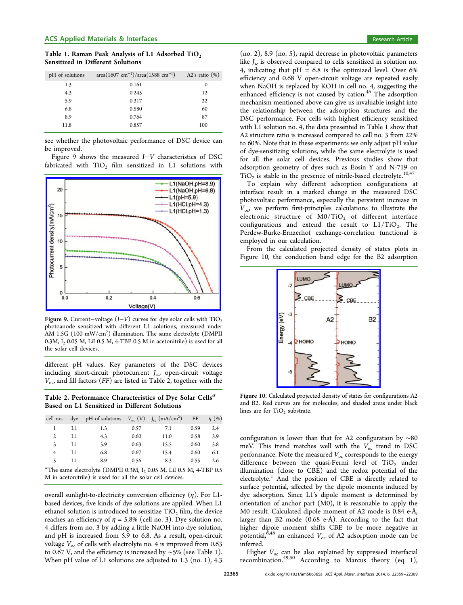<span id="page-6-0"></span>Table 1. Raman Peak Analysis of L1 Adsorbed  $TiO<sub>2</sub>$ Sensitized in Different Solutions

| pH of solutions | $area(1607 cm^{-1})/area(1588 cm^{-1})$ | A2's ratio $(\%)$ |
|-----------------|-----------------------------------------|-------------------|
| 1.3             | 0.161                                   | 0                 |
| 4.3             | 0.245                                   | 12                |
| 5.9             | 0.317                                   | 22                |
| 6.8             | 0.580                                   | 60                |
| 8.9             | 0.764                                   | 87                |
| 11.8            | 0.857                                   | 100               |
|                 |                                         |                   |

see whether the photovoltaic performance of DSC device can be improved.

Figure 9 shows the measured I−V characteristics of DSC fabricated with  $TiO<sub>2</sub>$  film sensitized in L1 solutions with



Figure 9. Current–voltage  $(I-V)$  curves for dye solar cells with TiO<sub>2</sub> photoanode sensitized with different L1 solutions, measured under  $\rm AM$  1.5G  $(100\;\rm mW/cm^2)$  illumination. The same electrolyte  $(DMPII)$ 0.3M,  $I_2$  0.05 M, LiI 0.5 M, 4-TBP 0.5 M in acetonitrile) is used for all the solar cell devices.

different pH values. Key parameters of the DSC devices including short-circuit photocurrent  $J_{\rm sc}$ , open-circuit voltage  $V_{\text{o}c}$  and fill factors (FF) are listed in Table 2, together with the

Table 2. Performance Characteristics of Dye Solar Cells<sup>a</sup> Based on L1 Sensitized in Different Solutions

| cell no.                                                                                                                       | dye | pH of solutions $V_{\text{oc}}(V) = J_{\text{sc}}(mA/cm^2)$ |      |      | FF   | $\eta$ (%) |  |  |
|--------------------------------------------------------------------------------------------------------------------------------|-----|-------------------------------------------------------------|------|------|------|------------|--|--|
|                                                                                                                                | LI  | 1.3                                                         | 0.57 | 7.1  | 0.59 | 2.4        |  |  |
| 2                                                                                                                              | L1  | 4.3                                                         | 0.60 | 11.0 | 0.58 | 3.9        |  |  |
| 3                                                                                                                              | L1  | 5.9                                                         | 0.63 | 15.5 | 0.60 | 5.8        |  |  |
| 4                                                                                                                              | L1  | 6.8                                                         | 0.67 | 15.4 | 0.60 | 6.1        |  |  |
| 5                                                                                                                              | L1  | 8.9                                                         | 0.56 | 8.3  | 0.55 | 2.6        |  |  |
| ${}^a$ The same electrolyte (DMPII 0.3M, I, 0.05 M, LiI 0.5 M, 4-TBP 0.5<br>$\mathbf{z}$ , and $\mathbf{y}$ , and $\mathbf{y}$ |     |                                                             |      |      |      |            |  |  |

M in acetonitrile) is used for all the solar cell devices.

overall sunlight-to-electricity conversion efficiency  $(\eta)$ . For L1based devices, five kinds of dye solutions are applied. When L1 ethanol solution is introduced to sensitize  $TiO<sub>2</sub>$  film, the device reaches an efficiency of  $\eta = 5.8\%$  (cell no. 3). Dye solution no. 4 differs from no. 3 by adding a little NaOH into dye solution, and pH is increased from 5.9 to 6.8. As a result, open-circuit voltage  $V_{\text{oc}}$  of cells with electrolyte no. 4 is improved from 0.63 to 0.67 V, and the efficiency is increased by ∼5% (see Table 1). When pH value of L1 solutions are adjusted to 1.3 (no. 1), 4.3

(no. 2), 8.9 (no. 5), rapid decrease in photovoltaic parameters like  $J_{\rm sc}$  is observed compared to cells sensitized in solution no. 4, indicating that  $pH = 6.8$  is the optimized level. Over 6% efficiency and 0.68 V open-circuit voltage are repeated easily when NaOH is replaced by KOH in cell no. 4, suggesting the enhanced efficiency is not caused by cation.<sup>46</sup> The adsorption mechanism mentioned above can give us invaluable insight into the relationship between the adsorption s[tru](#page-10-0)ctures and the DSC performance. For cells with highest efficiency sensitized with L1 solution no. 4, the data presented in Table 1 show that A2 structure ratio is increased compared to cell no. 3 from 22% to 60%. Note that in these experiments we only adjust pH value of dye-sensitizing solutions, while the same electrolyte is used for all the solar cell devices. Previous studies show that adsorption geometry of dyes such as Eosin Y and N-719 on  $TiO<sub>2</sub>$  is stable in the presence of nitrile-based electrolyte.<sup>10,47</sup>

To explain why different adsorption configurations at interface result in a marked change in the measured [D](#page-9-0)[SC](#page-10-0) photovoltaic performance, especially the persistent increase in  $V_{\text{o}c}$  we perform first-principles calculations to illustrate the electronic structure of  $M0/TiO<sub>2</sub>$  of different interface configurations and extend the result to  $L1/TiO<sub>2</sub>$ . The Perdew-Burke-Ernzerhof exchange-correlation functional is employed in our calculation.

From the calculated projected density of states plots in Figure 10, the conduction band edge for the B2 adsorption



Figure 10. Cal[culated projected density of states for co](http://pubs.acs.org/action/showImage?doi=10.1021/am506365a&iName=master.img-010.jpg&w=135&h=155)nfigurations A2 and B2. Red curves are for molecules, and shaded areas under black lines are for  $TiO<sub>2</sub>$  substrate.

configuration is lower than that for A2 configuration by ∼80 meV. This trend matches well with the  $V_{\text{oc}}$  trend in DSC performance. Note the measured  $V_{\text{oc}}$  corresponds to the energy difference between the quasi-Fermi level of  $TiO<sub>2</sub>$  under illumination (close to CBE) and the redox potential of the electrolyte. $1$  And the position of CBE is directly related to surface potential, affected by the dipole moments induced by dye adsor[pt](#page-9-0)ion. Since L1's dipole moment is determined by orientation of anchor part (M0), it is reasonable to apply the M0 result. Calculated dipole moment of A2 mode is 0.84 e·Å, larger than B2 mode (0.68 e·Å). According to the fact that higher dipole moment shifts CBE to be more negative in potential,<sup>6,48</sup> an enhanced  $V_{\text{oc}}$  of A2 adsorption mode can be inferred.

Higher  $V_{\text{oc}}$  $V_{\text{oc}}$  can be also explained by suppressed interfacial recombination.<sup>49,50</sup> According to Marcus theory (eq 1),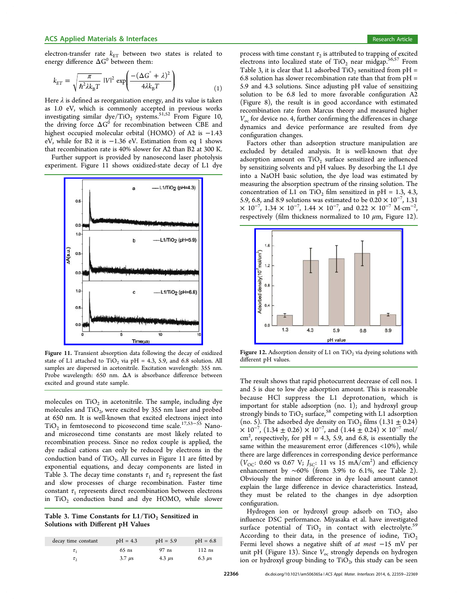<span id="page-7-0"></span>electron-transfer rate  $k_{ET}$  between two states is related to energy difference  $\Delta G^0$  between them:

$$
k_{ET} = \sqrt{\frac{\pi}{\hbar^2 \lambda k_{\rm B} T}} |V|^2 \exp\left(\frac{- (\Delta G^{\circ} + \lambda)^2}{4 \lambda k_{\rm B} T}\right) \tag{1}
$$

Here  $\lambda$  is defined as reorganization energy, and its value is taken as 1.0 eV, which is commonly accepted in previous works investigating similar dye/TiO<sub>2</sub> systems.<sup>51,52</sup> From Figure 10, the driving force  $\Delta G^0$  for recombination between CBE and highest occupied molecular orbital (H[OMO](#page-10-0)) of A2 is −[1.43](#page-6-0) eV, while for B2 it is −1.36 eV. Estimation from eq 1 shows that recombination rate is 40% slower for A2 than B2 at 300 K.

Further support is provided by nanosecond laser photolysis experiment. Figure 11 shows oxidized-state decay of L1 dye



Figure 11. [Transient absorption data following the decay of](http://pubs.acs.org/action/showImage?doi=10.1021/am506365a&iName=master.img-011.jpg&w=182&h=221) oxidized state of L1 attached to TiO<sub>2</sub> via pH = 4.3, 5.9, and 6.8 solution. All samples are dispersed in acetonitrile. Excitation wavelength: 355 nm. Probe wavelength: 650 nm. ΔA is absorbance difference between excited and ground state sample.

molecules on  $TiO<sub>2</sub>$  in acetonitrile. The sample, including dye molecules and  $TiO<sub>2</sub>$ , were excited by 355 nm laser and probed at 650 nm. It is well-known that excited electrons inject into  $TiO<sub>2</sub>$  in femtosecond to picosecond time scale.<sup>17,53–55</sup> Nanoand microsecond time constants are most likely related to recombination process. Since no redox couple [is](#page-9-0) [appli](#page-10-0)ed, the dye radical cations can only be reduced by electrons in the conduction band of  $TiO<sub>2</sub>$ . All curves in Figure 11 are fitted by exponential equations, and decay components are listed in Table 3. The decay time constants  $\tau_1$  and  $\tau_2$  represent the fast and slow processes of charge recombination. Faster time constant  $\tau_1$  represents direct recombination between electrons in  $TiO<sub>2</sub>$  conduction band and dye HOMO, while slower

Table 3. Time Constants for  $L1/TiO<sub>2</sub>$  Sensitized in Solutions with Different pH Values

| decay time constant | $pH = 4.3$                | $pH = 5.9$  | $pH = 6.8$  |
|---------------------|---------------------------|-------------|-------------|
|                     | $65$ ns                   | $97$ ns     | $112$ ns    |
|                     | $3.7 \text{ }\mu\text{s}$ | 4.3 $\mu$ s | $6.3 \mu s$ |

process with time constant  $\tau_2$  is attributed to trapping of excited electrons into localized state of  $TiO<sub>2</sub>$  near midgap.<sup>56,57</sup> From Table 3, it is clear that L1 adsorbed  $TiO<sub>2</sub>$  sensitized from pH = 6.8 solution has slower recombination rate than that [from](#page-10-0)  $pH =$ 5.9 and 4.3 solutions. Since adjusting pH value of sensitizing solution to be 6.8 led to more favorable configuration A2 (Figure 8), the result is in good accordance with estimated recombination rate from Marcus theory and measured higher  $V_{\rm oc}$  for d[ev](#page-5-0)ice no. 4, further confirming the differences in charge dynamics and device performance are resulted from dye configuration changes.

Factors other than adsorption structure manipulation are excluded by detailed analysis. It is well-known that dye adsorption amount on  $TiO<sub>2</sub>$  surface sensitized are influenced by sensitizing solvents and pH values. By desorbing the L1 dye into a NaOH basic solution, the dye load was estimated by measuring the absorption spectrum of the rinsing solution. The concentration of L1 on TiO<sub>2</sub> film sensitized in pH = 1.3, 4.3, 5.9, 6.8, and 8.9 solutions was estimated to be  $0.20 \times 10^{-7}$ , 1.31  $\times$  10<sup>-7</sup>, 1.34  $\times$  10<sup>-7</sup>, 1.44  $\times$  10<sup>-7</sup>, and 0.22  $\times$  10<sup>-7</sup> M⋅cm<sup>-2</sup> , respectively (film thickness normalized to 10  $\mu$ m, Figure 12).



**Figure 12.** Adsorption density of L1 on  $TiO<sub>2</sub>$  via dyeing solutions with different pH values.

The result shows that rapid photocurrent decrease of cell nos. 1 and 5 is due to low dye adsorption amount. This is reasonable because HCl suppress the L1 deprotonation, which is important for stable adsorption (no. 1); and hydroxyl group strongly binds to  $TiO<sub>2</sub> surface, <sup>58</sup> competing with L1 adsorption$ (no. 5). The adsorbed dye density on  $TiO<sub>2</sub>$  films (1.31  $\pm$  0.24)  $\times$  10<sup>-7</sup>, (1.34 ± 0.26)  $\times$  10<sup>-7</sup>[, a](#page-10-0)nd (1.44 ± 0.24)  $\times$  10<sup>-7</sup> mol/ cm<sup>2</sup>, respectively, for pH = 4.3, 5.9, and 6.8, is essentially the same within the measurement error (differences <10%), while there are large differences in corresponding device performance  $(V_{\text{OC}}$ : 0.60 vs 0.67 V;  $J_{\text{SC}}$ : 11 vs 15 mA/cm<sup>2</sup>) and efficiency enhancement by ∼60% (from 3.9% to 6.1%, see Table 2). Obviously the minor difference in dye load amount cannot explain the large difference in device characteristics. Inste[ad](#page-6-0), they must be related to the changes in dye adsorption configuration.

Hydrogen ion or hydroxyl group adsorb on  $TiO<sub>2</sub>$  also influence DSC performance. Miyasaka et al. have investigated surface potential of  $TiO<sub>2</sub>$  in contact with electrolyte.<sup>55</sup> According to their data, in the presence of iodine,  $TiO<sub>2</sub>$ Fermi level shows a negative shift of at most −15 mV [per](#page-10-0) unit pH (Figure 13). Since  $V_{\text{oc}}$  strongly depends on hydrogen ion or hydroxyl group binding to  $TiO<sub>2</sub>$ , this study can be seen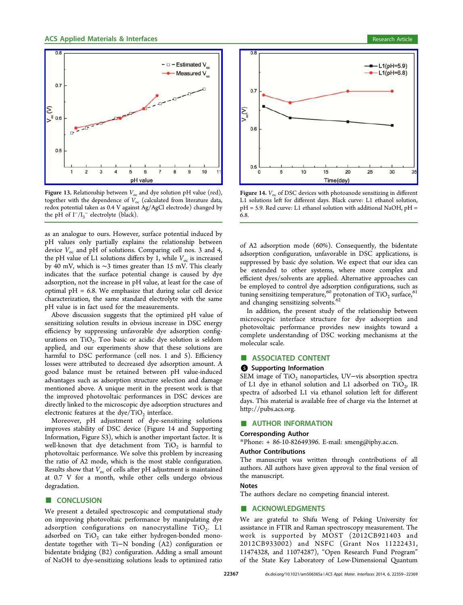<span id="page-8-0"></span>

Figure 13. Relationship between  $V_{\text{oc}}$  [and dye solution pH value \(red\)](http://pubs.acs.org/action/showImage?doi=10.1021/am506365a&iName=master.img-013.jpg&w=235&h=178), together with the dependence of  $V_{\text{oc}}$  (calculated from literature data, redox potential taken as 0.4 V against Ag/AgCl electrode) changed by the pH of  $I^-/{I_3}^-$  electrolyte (black).

as an analogue to ours. However, surface potential induced by pH values only partially explains the relationship between device  $V_{\text{oc}}$  and pH of solutions. Comparing cell nos. 3 and 4, the pH value of L1 solutions differs by 1, while  $V_{\text{oc}}$  is increased by 40 mV, which is ∼3 times greater than 15 mV. This clearly indicates that the surface potential change is caused by dye adsorption, not the increase in pH value, at least for the case of optimal  $pH = 6.8$ . We emphasize that during solar cell device characterization, the same standard electrolyte with the same pH value is in fact used for the measurements.

Above discussion suggests that the optimized pH value of sensitizing solution results in obvious increase in DSC energy efficiency by suppressing unfavorable dye adsorption configurations on  $TiO<sub>2</sub>$ . Too basic or acidic dye solution is seldom applied, and our experiments show that these solutions are harmful to DSC performance (cell nos. 1 and 5). Efficiency losses were attributed to decreased dye adsorption amount. A good balance must be retained between pH value-induced advantages such as adsorption structure selection and damage mentioned above. A unique merit in the present work is that the improved photovoltaic performances in DSC devices are directly linked to the microscopic dye adsorption structures and electronic features at the dye/TiO<sub>2</sub> interface.

Moreover, pH adjustment of dye-sensitizing solutions improves stability of DSC device (Figure 14 and Supporting Information, Figure S3), which is another important factor. It is well-known that dye detachment from  $TiO<sub>2</sub>$  is harmful to photovoltaic performance. We solve this problem by increasing the ratio of A2 mode, which is the most stable configuration. Results show that  $V_{\text{oc}}$  of cells after pH adjustment is maintained at 0.7 V for a month, while other cells undergo obvious degradation.

# ■ CONCLUSION

We present a detailed spectroscopic and computational study on improving photovoltaic performance by manipulating dye adsorption configurations on nanocrystalline  $TiO<sub>2</sub>$ . L1 adsorbed on  $TiO<sub>2</sub>$  can take either hydrogen-bonded monodentate together with Ti−N bonding (A2) configuration or bidentate bridging (B2) configuration. Adding a small amount of NaOH to dye-sensitizing solutions leads to optimized ratio



Figure 14.  $V_{\alpha c}$  [of DSC devices with photoanode sensitizing in di](http://pubs.acs.org/action/showImage?doi=10.1021/am506365a&iName=master.img-014.jpg&w=236&h=178)fferent L1 solutions left for different days. Black curve: L1 ethanol solution,  $pH = 5.9$ . Red curve: L1 ethanol solution with additional NaOH,  $pH =$ 6.8.

of A2 adsorption mode (60%). Consequently, the bidentate adsorption configuration, unfavorable in DSC applications, is suppressed by basic dye solution. We expect that our idea can be extended to other systems, where more complex and efficient dyes/solvents are applied. Alternative approaches can be employed to control dye adsorption configurations, such as tuning sensitizing temperature,  $^{60}$  protonation of TiO<sub>2</sub> surface,  $^{61}$ and changing sensitizing solvents.<sup>62</sup>

In addition, the present st[udy](#page-10-0) of the relationship betwe[en](#page-10-0) microscopic interface structur[e](#page-10-0) for dye adsorption and photovoltaic performance provides new insights toward a complete understanding of DSC working mechanisms at the molecular scale.

# ■ ASSOCIATED CONTENT

#### **9** Supporting Information

SEM image of TiO<sub>2</sub> nanoparticles, UV-vis absorption spectra of L1 dye in ethanol solution and L1 adsorbed on  $TiO<sub>2</sub>$ , IR spectra of adsorbed L1 via ethanol solution left for different days. This material is available free of charge via the Internet at http://pubs.acs.org.

### ■ AUTHOR INFORMATION

# [Corresponding](http://pubs.acs.org) [Au](http://pubs.acs.org)thor

\*Phone: + 86-10-82649396. E-mail: smeng@iphy.ac.cn.

#### Author Contributions

The manuscript was written thro[ugh contributions](mailto:smeng@iphy.ac.cn) of all authors. All authors have given approval to the final version of the manuscript.

# Notes

The authors declare no competing financial interest.

#### ■ ACKNOWLEDGMENTS

We are grateful to Shifu Weng of Peking University for assistance in FTIR and Raman spectroscopy measurement. The work is supported by MOST (2012CB921403 and 2012CB933002) and NSFC (Grant Nos 11222431, 11474328, and 11074287), "Open Research Fund Program" of the State Key Laboratory of Low-Dimensional Quantum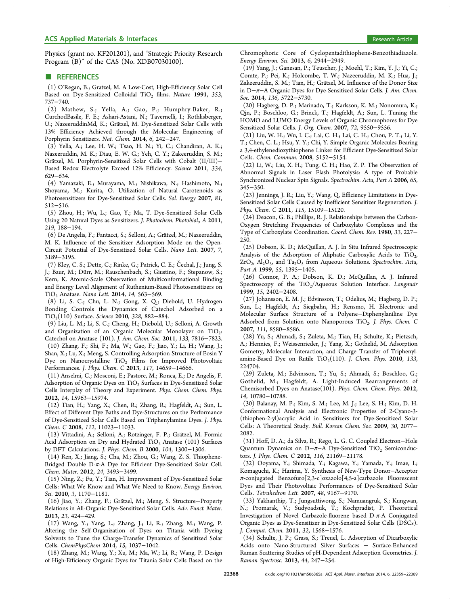<span id="page-9-0"></span>Physics (grant no. KF201201), and "Strategic Priority Research Program (B)" of the CAS (No. XDB07030100).

#### **ENDINEERENCES**

(1) O'Regan, B.; Gratzel, M. A Low-Cost, High-Efficiency Solar Cell Based on Dye-Sensitized Colloidal TiO<sub>2</sub> films. Nature 1991, 353, 737−740.

(2) Mathew, S.; Yella, A.; Gao, P.; Humphry-Baker, R.; CurchodBasile, F. E.; Ashari-Astani, N.; Tavernelli, I.; Rothlisberger, U.; NazeeruddinMd, K.; Grätzel, M. Dye-Sensitized Solar Cells with 13% Efficiency Achieved through the Molecular Engineering of Porphyrin Sensitizers. Nat. Chem. 2014, 6, 242−247.

(3) Yella, A.; Lee, H. W.; Tsao, H. N.; Yi, C.; Chandiran, A. K.; Nazeeruddin, M. K.; Diau, E. W. G.; Yeh, C. Y.; Zakeeruddin, S. M.; Grätzel, M. Porphyrin-Sensitized Solar Cells with Cobalt (II/III)-Based Redox Electrolyte Exceed 12% Efficiency. Science 2011, 334, 629−634.

(4) Yamazaki, E.; Murayama, M.; Nishikawa, N.; Hashimoto, N.; Shoyama, M.; Kurita, O. Utilization of Natural Carotenoids as Photosensitizers for Dye-Sensitized Solar Cells. Sol. Energy 2007, 81, 512−516.

(5) Zhou, H.; Wu, L.; Gao, Y.; Ma, T. Dye-Sensitized Solar Cells Using 20 Natural Dyes as Sensitizers. J. Photochem. Photobiol., A 2011, 219, 188−194.

(6) De Angelis, F.; Fantacci, S.; Selloni, A.; Grätzel, M.; Nazeeruddin, M. K. Influence of the Sensitizer Adsorption Mode on the Open-Circuit Potential of Dye-Sensitized Solar Cells. Nano Lett. 2007, 7, 3189−3195.

(7) Kley, C. S.; Dette, C.; Rinke, G.; Patrick, C. E.; Čechal, J.; Jung, S. J.; Baur, M.; Dürr, M.; Rauschenbach, S.; Giustino, F.; Stepanow, S.; Kern, K. Atomic-Scale Observation of Multiconformational Binding and Energy Level Alignment of Ruthenium-Based Photosensitizers on TiO<sub>2</sub> Anatase. Nano Lett. 2014, 14, 563-569.

(8) Li, S. C.; Chu, L. N.; Gong, X. Q.; Diebold, U. Hydrogen Bonding Controls the Dynamics of Catechol Adsorbed on a TiO<sub>2</sub>(110) Surface. Science 2010, 328, 882-884.

(9) Liu, L. M.; Li, S. C.; Cheng, H.; Diebold, U.; Selloni, A. Growth and Organization of an Organic Molecular Monolayer on  $TiO<sub>2</sub>$ : Catechol on Anatase (101). J. Am. Chem. Soc. 2011, 133, 7816−7823.

(10) Zhang, F.; Shi, F.; Ma, W.; Gao, F.; Jiao, Y.; Li, H.; Wang, J.; Shan, X.; Lu, X.; Meng, S. Controlling Adsorption Structure of Eosin Y Dye on Nanocrystalline  $TiO<sub>2</sub>$  Films for Improved Photovoltaic Performances. J. Phys. Chem. C 2013, 117, 14659−14666.

(11) Anselmi, C.; Mosconi, E.; Pastore, M.; Ronca, E.; De Angelis, F. Adsorption of Organic Dyes on  $TiO<sub>2</sub>$  Surfaces in Dye-Sensitized Solar Cells Interplay of Theory and Experiment. Phys. Chem. Chem. Phys. 2012, 14, 15963−15974.

(12) Tian, H.; Yang, X.; Chen, R.; Zhang, R.; Hagfeldt, A.; Sun, L. Effect of Different Dye Baths and Dye-Structures on the Performance of Dye-Sensitized Solar Cells Based on Triphenylamine Dyes. J. Phys. Chem. C 2008, 112, 11023−11033.

(13) Vittadini, A.; Selloni, A.; Rotzinger, F. P.; Gratzel, M. Formic ̈ Acid Adsorption on Dry and Hydrated TiO<sub>2</sub> Anatase (101) Surfaces by DFT Calculations. J. Phys. Chem. B 2000, 104, 1300−1306.

(14) Ren, X.; Jiang, S.; Cha, M.; Zhou, G.; Wang, Z. S. Thiophene-Bridged Double D-π-A Dye for Efficient Dye-Sensitized Solar Cell. Chem. Mater. 2012, 24, 3493−3499.

(15) Ning, Z.; Fu, Y.; Tian, H. Improvement of Dye-Sensitized Solar Cells: What We Know and What We Need to Know. Energy Environ. Sci. 2010, 3, 1170−1181.

(16) Jiao, Y.; Zhang, F.; Grätzel, M.; Meng, S. Structure-Property Relations in All-Organic Dye-Sensitized Solar Cells. Adv. Funct. Mater. 2013, 23, 424−429.

(17) Wang, Y.; Yang, L.; Zhang, J.; Li, R.; Zhang, M.; Wang, P. Altering the Self-Organization of Dyes on Titania with Dyeing Solvents to Tune the Charge-Transfer Dynamics of Sensitized Solar Cells. ChemPhysChem 2014, 15, 1037−1042.

(18) Zhang, M.; Wang, Y.; Xu, M.; Ma, W.; Li, R.; Wang, P. Design of High-Efficiency Organic Dyes for Titania Solar Cells Based on the Chromophoric Core of Cyclopentadithiophene-Benzothiadiazole. Energy Environ. Sci. 2013, 6, 2944−2949.

(19) Yang, J.; Ganesan, P.; Teuscher, J.; Moehl, T.; Kim, Y. J.; Yi, C.; Comte, P.; Pei, K.; Holcombe, T. W.; Nazeeruddin, M. K.; Hua, J.; Zakeeruddin, S. M.; Tian, H.; Grätzel, M. Influence of the Donor Size in D−π−A Organic Dyes for Dye-Sensitized Solar Cells. J. Am. Chem. Soc. 2014, 136, 5722−5730.

(20) Hagberg, D. P.; Marinado, T.; Karlsson, K. M.; Nonomura, K.; Qin, P.; Boschloo, G.; Brinck, T.; Hagfeldt, A.; Sun, L. Tuning the HOMO and LUMO Energy Levels of Organic Chromophores for Dye Sensitized Solar Cells. J. Org. Chem. 2007, 72, 9550−9556.

(21) Liu, W. H.; Wu, I. C.; Lai, C. H.; Lai, C. H.; Chou, P. T.; Li, Y. T.; Chen, C. L.; Hsu, Y. Y.; Chi, Y. Simple Organic Molecules Bearing a 3,4-ethylenedioxythiophene Linker for Efficient Dye-Sensitized Solar Cells. Chem. Commun. 2008, 5152−5154.

(22) Li, W.; Liu, X. H.; Tung, C. H.; Hao, Z. P. The Observation of Abnormal Signals in Laser Flash Photolysis: A type of Probable Synchronized Nuclear Spin Signals. Spectrochim. Acta, Part A 2006, 65, 345−350.

(23) Jennings, J. R.; Liu, Y.; Wang, Q. Efficiency Limitations in Dye-Sensitized Solar Cells Caused by Inefficient Sensitizer Regeneration. J. Phys. Chem. C 2011, 115, 15109-15120.

(24) Deacon, G. B.; Phillips, R. J. Relationships between the Carbon-Oxygen Stretching Frequencies of Carboxylato Complexes and the Type of Carboxylate Coordination. Coord. Chem. Rev. 1980, 33, 227− 250.

(25) Dobson, K. D.; McQuillan, A. J. In Situ Infrared Spectroscopic Analysis of the Adsorption of Aliphatic Carboxylic Acids to  $TiO<sub>2</sub>$ ,  $ZrO_2$ ,  $Al_2O_3$ , and  $Ta_2O_5$  from Aqueous Solutions. Spectrochim. Acta, Part A 1999, 55, 1395-1405.

(26) Connor, P. A.; Dobson, K. D.; McQuillan, A. J. Infrared Spectroscopy of the  $TiO<sub>2</sub>/Aqueous Solution Interface. *Langmuir*$ 1999, 15, 2402−2408.

(27) Johansson, E. M. J.; Edvinsson, T.; Odelius, M.; Hagberg, D. P.; Sun, L.; Hagfeldt, A.; Siegbahn, H.; Rensmo, H. Electronic and Molecular Surface Structure of a Polyene−Diphenylaniline Dye Adsorbed from Solution onto Nanoporous TiO<sub>2</sub>. J. Phys. Chem. C 2007, 111, 8580−8586.

(28) Yu, S.; Ahmadi, S.; Zuleta, M.; Tian, H.; Schulte, K.; Pietzsch, A.; Hennies, F.; Weissenrieder, J.; Yang, X.; Gothelid, M. Adsorption Gometry, Molecular Interaction, and Charge Transfer of Triphenylamine-Based Dye on Rutile TiO<sub>2</sub>(110). J. Chem. Phys. 2010, 133, 224704.

(29) Zuleta, M.; Edvinsson, T.; Yu, S.; Ahmadi, S.; Boschloo, G.; Gothelid, M.; Hagfeldt, A. Light-Induced Rearrangements of Chemisorbed Dyes on Anatase(101). Phys. Chem. Chem. Phys. 2012, 14, 10780−10788.

(30) Balanay, M. P.; Kim, S. M.; Lee, M. J.; Lee, S. H.; Kim, D. H. Conformational Analysis and Electronic Properties of 2-Cyano-3- (thiophen-2-yl)acrylic Acid in Sensitizers for Dye-Sensitized Solar Cells: A Theoretical Study. Bull. Korean Chem. Soc. 2009, 30, 2077− 2082.

(31) Hoff, D. A.; da Silva, R.; Rego, L. G. C. Coupled Electron−Hole Quantum Dynamics on D- $\pi$ −A Dye-Sensitized TiO<sub>2</sub> Semiconductors. J. Phys. Chem. C 2012, 116, 21169−21178.

(32) Ooyama, Y.; Shimada, Y.; Kagawa, Y.; Yamada, Y.; Imae, I.; Komaguchi, K.; Harima, Y. Synthesis of New-Type Donor−Acceptor π-conjugated Benzofuro[2,3-c]oxazolo[4,5-a]carbazole Fluorescent Dyes and Their Photovoltaic Performances of Dye-Sensitized Solar Cells. Tetrahedron Lett. 2007, 48, 9167−9170.

(33) Yakhanthip, T.; Jungsuttiwong, S.; Namuangruk, S.; Kungwan, N.; Promarak, V.; Sudyoadsuk, T.; Kochpradist, P. Theoretical Investigation of Novel Carbazole-fluorene based D-π-A Conjugated Organic Dyes as Dye-Sensitizer in Dye-Sensitized Solar Cells (DSCs). J. Comput. Chem. 2011, 32, 1568−1576.

(34) Schulte, J. P.; Grass, S.; Treuel, L. Adsorption of Dicarboxylic Acids onto Nano-Structured Silver Surfaces − Surface-Enhanced Raman Scattering Studies of pH-Dependent Adsorption Geometries. J. Raman Spectrosc. 2013, 44, 247−254.